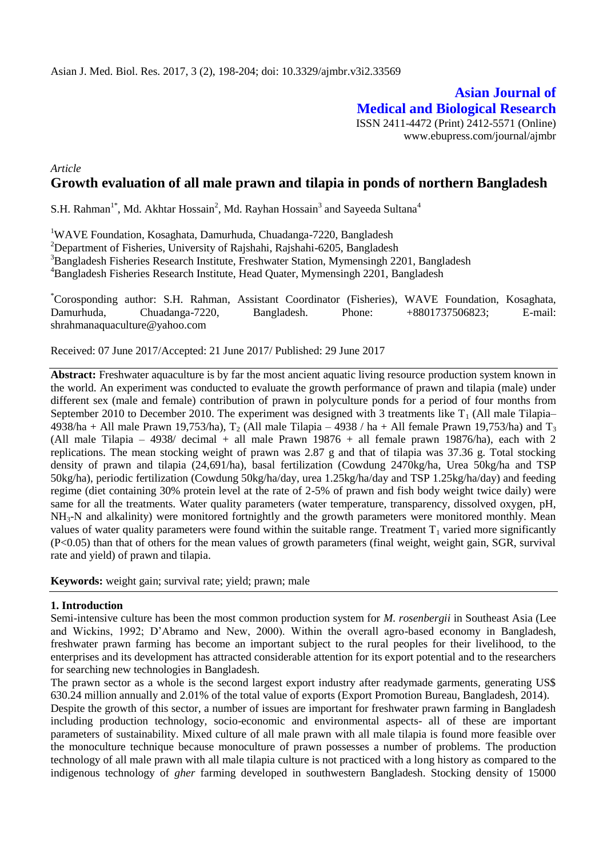**Asian Journal of Medical and Biological Research** ISSN 2411-4472 (Print) 2412-5571 (Online) www.ebupress.com/journal/ajmbr

## *Article* **Growth evaluation of all male prawn and tilapia in ponds of northern Bangladesh**

S.H. Rahman<sup>1\*</sup>, Md. Akhtar Hossain<sup>2</sup>, Md. Rayhan Hossain<sup>3</sup> and Sayeeda Sultana<sup>4</sup>

<sup>1</sup>WAVE Foundation, Kosaghata, Damurhuda, Chuadanga-7220, Bangladesh

<sup>2</sup>Department of Fisheries, University of Rajshahi, Rajshahi-6205, Bangladesh

<sup>3</sup>Bangladesh Fisheries Research Institute, Freshwater Station, Mymensingh 2201, Bangladesh

<sup>4</sup>Bangladesh Fisheries Research Institute, Head Quater, Mymensingh 2201, Bangladesh

\*Corosponding author: S.H. Rahman, Assistant Coordinator (Fisheries), WAVE Foundation, Kosaghata, Damurhuda, Chuadanga-7220, Bangladesh. Phone: +8801737506823; E-mail: shrahmanaquaculture@yahoo.com

Received: 07 June 2017/Accepted: 21 June 2017/ Published: 29 June 2017

**Abstract:** Freshwater aquaculture is by far the most ancient aquatic living resource production system known in the world. An experiment was conducted to evaluate the growth performance of prawn and tilapia (male) under different sex (male and female) contribution of prawn in polyculture ponds for a period of four months from September 2010 to December 2010. The experiment was designed with 3 treatments like  $T_1$  (All male Tilapia– 4938/ha + All male Prawn 19,753/ha),  $T_2$  (All male Tilapia – 4938 / ha + All female Prawn 19,753/ha) and  $T_3$ (All male Tilapia – 4938/ decimal + all male Prawn 19876 + all female prawn 19876/ha), each with 2 replications. The mean stocking weight of prawn was 2.87 g and that of tilapia was 37.36 g. Total stocking density of prawn and tilapia (24,691/ha), basal fertilization (Cowdung 2470kg/ha, Urea 50kg/ha and TSP 50kg/ha), periodic fertilization (Cowdung 50kg/ha/day, urea 1.25kg/ha/day and TSP 1.25kg/ha/day) and feeding regime (diet containing 30% protein level at the rate of 2-5% of prawn and fish body weight twice daily) were same for all the treatments. Water quality parameters (water temperature, transparency, dissolved oxygen, pH,  $NH<sub>3</sub>-N$  and alkalinity) were monitored fortnightly and the growth parameters were monitored monthly. Mean values of water quality parameters were found within the suitable range. Treatment  $T_1$  varied more significantly (P<0.05) than that of others for the mean values of growth parameters (final weight, weight gain, SGR, survival rate and yield) of prawn and tilapia.

**Keywords:** weight gain; survival rate; yield; prawn; male

#### **1. Introduction**

Semi-intensive culture has been the most common production system for *M. rosenbergii* in Southeast Asia (Lee and Wickins, 1992; D'Abramo and New, 2000). Within the overall agro-based economy in Bangladesh, freshwater prawn farming has become an important subject to the rural peoples for their livelihood, to the enterprises and its development has attracted considerable attention for its export potential and to the researchers for searching new technologies in Bangladesh.

The prawn sector as a whole is the second largest export industry after readymade garments, generating US\$ 630.24 million annually and 2.01% of the total value of exports (Export Promotion Bureau, Bangladesh, 2014).

Despite the growth of this sector, a number of issues are important for freshwater prawn farming in Bangladesh including production technology, socio-economic and environmental aspects- all of these are important parameters of sustainability. Mixed culture of all male prawn with all male tilapia is found more feasible over the monoculture technique because monoculture of prawn possesses a number of problems. The production technology of all male prawn with all male tilapia culture is not practiced with a long history as compared to the indigenous technology of *gher* farming developed in southwestern Bangladesh. Stocking density of 15000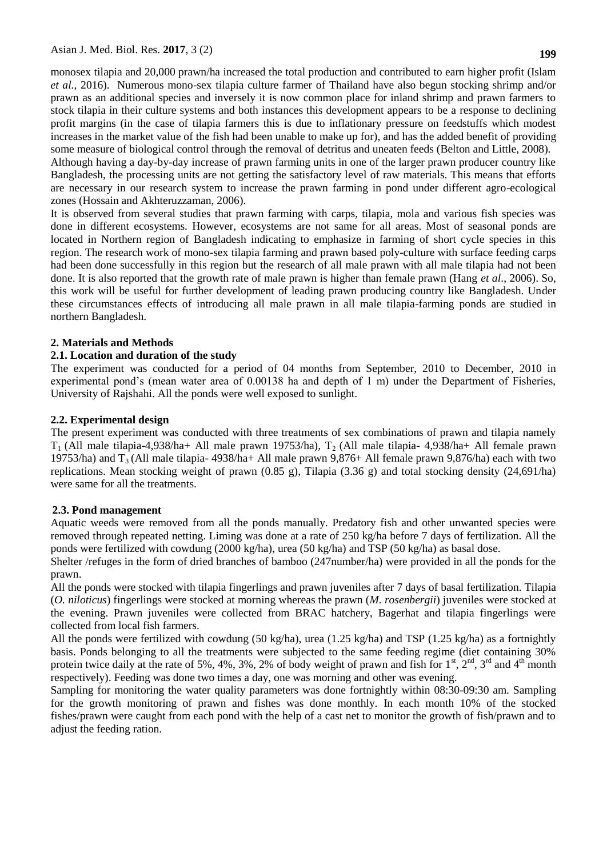monosex tilapia and 20,000 prawn/ha increased the total production and contributed to earn higher profit (Islam *et al.*, 2016). Numerous mono-sex tilapia culture farmer of Thailand have also begun stocking shrimp and/or prawn as an additional species and inversely it is now common place for inland shrimp and prawn farmers to stock tilapia in their culture systems and both instances this development appears to be a response to declining profit margins (in the case of tilapia farmers this is due to inflationary pressure on feedstuffs which modest increases in the market value of the fish had been unable to make up for), and has the added benefit of providing some measure of biological control through the removal of detritus and uneaten feeds (Belton and Little, 2008).

Although having a day-by-day increase of prawn farming units in one of the larger prawn producer country like Bangladesh, the processing units are not getting the satisfactory level of raw materials. This means that efforts are necessary in our research system to increase the prawn farming in pond under different agro-ecological zones (Hossain and Akhteruzzaman, 2006).

It is observed from several studies that prawn farming with carps, tilapia, mola and various fish species was done in different ecosystems. However, ecosystems are not same for all areas. Most of seasonal ponds are located in Northern region of Bangladesh indicating to emphasize in farming of short cycle species in this region. The research work of mono-sex tilapia farming and prawn based poly-culture with surface feeding carps had been done successfully in this region but the research of all male prawn with all male tilapia had not been done. It is also reported that the growth rate of male prawn is higher than female prawn (Hang *et al*., 2006). So, this work will be useful for further development of leading prawn producing country like Bangladesh. Under these circumstances effects of introducing all male prawn in all male tilapia-farming ponds are studied in northern Bangladesh.

### **2. Materials and Methods**

### **2.1. Location and duration of the study**

The experiment was conducted for a period of 04 months from September, 2010 to December, 2010 in experimental pond's (mean water area of 0.00138 ha and depth of 1 m) under the Department of Fisheries, University of Rajshahi. All the ponds were well exposed to sunlight.

### **2.2. Experimental design**

The present experiment was conducted with three treatments of sex combinations of prawn and tilapia namely  $T_1$  (All male tilapia-4,938/ha+ All male prawn 19753/ha),  $T_2$  (All male tilapia-4,938/ha+ All female prawn 19753/ha) and  $T_3$  (All male tilapia- 4938/ha+ All male prawn 9,876+ All female prawn 9,876/ha) each with two replications. Mean stocking weight of prawn (0.85 g), Tilapia (3.36 g) and total stocking density (24,691/ha) were same for all the treatments.

### **2.3. Pond management**

Aquatic weeds were removed from all the ponds manually. Predatory fish and other unwanted species were removed through repeated netting. Liming was done at a rate of 250 kg/ha before 7 days of fertilization. All the ponds were fertilized with cowdung (2000 kg/ha), urea (50 kg/ha) and TSP (50 kg/ha) as basal dose.

Shelter /refuges in the form of dried branches of bamboo (247number/ha) were provided in all the ponds for the prawn.

All the ponds were stocked with tilapia fingerlings and prawn juveniles after 7 days of basal fertilization. Tilapia (*O. niloticus*) fingerlings were stocked at morning whereas the prawn (*M. rosenbergii*) juveniles were stocked at the evening. Prawn juveniles were collected from BRAC hatchery, Bagerhat and tilapia fingerlings were collected from local fish farmers.

All the ponds were fertilized with cowdung (50 kg/ha), urea (1.25 kg/ha) and TSP (1.25 kg/ha) as a fortnightly basis. Ponds belonging to all the treatments were subjected to the same feeding regime (diet containing 30% protein twice daily at the rate of 5%, 4%, 3%, 2% of body weight of prawn and fish for  $1<sup>st</sup>$ ,  $2<sup>nd</sup>$ ,  $3<sup>rd</sup>$  and  $4<sup>th</sup>$  month respectively). Feeding was done two times a day, one was morning and other was evening.

Sampling for monitoring the water quality parameters was done fortnightly within 08:30-09:30 am. Sampling for the growth monitoring of prawn and fishes was done monthly. In each month 10% of the stocked fishes/prawn were caught from each pond with the help of a cast net to monitor the growth of fish/prawn and to adjust the feeding ration.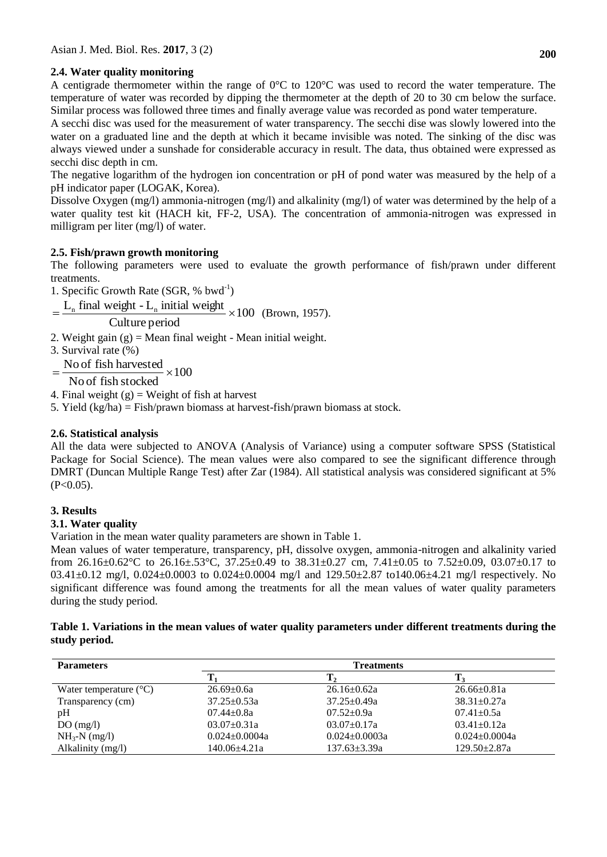# **2.4. Water quality monitoring**

A centigrade thermometer within the range of  $0^{\circ}$ C to  $120^{\circ}$ C was used to record the water temperature. The temperature of water was recorded by dipping the thermometer at the depth of 20 to 30 cm below the surface. Similar process was followed three times and finally average value was recorded as pond water temperature.

A secchi disc was used for the measurement of water transparency. The secchi dise was slowly lowered into the water on a graduated line and the depth at which it became invisible was noted. The sinking of the disc was always viewed under a sunshade for considerable accuracy in result. The data, thus obtained were expressed as secchi disc depth in cm.

The negative logarithm of the hydrogen ion concentration or pH of pond water was measured by the help of a pH indicator paper (LOGAK, Korea).

Dissolve Oxygen (mg/l) ammonia-nitrogen (mg/l) and alkalinity (mg/l) of water was determined by the help of a water quality test kit (HACH kit, FF-2, USA). The concentration of ammonia-nitrogen was expressed in milligram per liter (mg/l) of water.

# **2.5. Fish/prawn growth monitoring**

The following parameters were used to evaluate the growth performance of fish/prawn under different treatments.

1. Specific Growth Rate (SGR, % bwd<sup>-1</sup>)

 $=\frac{L_{\text{n}}}{{\text{final weight}} - L_{\text{n}}}$  initial weight  $\times 100$  (Brown, 1957).

Culture period

- 2. Weight gain  $(g)$  = Mean final weight Mean initial weight.
- 3. Survival rate (%)

100  $=\frac{\text{No of fish harvested}}{\text{No area}} \times$ 

No of fish stocked

4. Final weight  $(g)$  = Weight of fish at harvest

5. Yield (kg/ha) = Fish/prawn biomass at harvest-fish/prawn biomass at stock.

## **2.6. Statistical analysis**

All the data were subjected to ANOVA (Analysis of Variance) using a computer software SPSS (Statistical Package for Social Science). The mean values were also compared to see the significant difference through DMRT (Duncan Multiple Range Test) after Zar (1984). All statistical analysis was considered significant at 5%  $(P<0.05)$ .

# **3. Results**

# **3.1. Water quality**

Variation in the mean water quality parameters are shown in Table 1.

Mean values of water temperature, transparency, pH, dissolve oxygen, ammonia-nitrogen and alkalinity varied from 26.16 $\pm$ 0.62°C to 26.16 $\pm$ .53°C, 37.25 $\pm$ 0.49 to 38.31 $\pm$ 0.27 cm, 7.41 $\pm$ 0.05 to 7.52 $\pm$ 0.09, 03.07 $\pm$ 0.17 to 03.41±0.12 mg/l, 0.024±0.0003 to 0.024±0.0004 mg/l and 129.50±2.87 to140.06±4.21 mg/l respectively. No significant difference was found among the treatments for all the mean values of water quality parameters during the study period.

### **Table 1. Variations in the mean values of water quality parameters under different treatments during the study period.**

| <b>Parameters</b>               | <b>Treatments</b>   |                     |                     |  |
|---------------------------------|---------------------|---------------------|---------------------|--|
|                                 |                     |                     |                     |  |
| Water temperature $(^{\circ}C)$ | $26.69 \pm 0.6a$    | $26.16 \pm 0.62a$   | $26.66 \pm 0.81a$   |  |
| Transparency (cm)               | $37.25 \pm 0.53a$   | $37.25 \pm 0.49a$   | $38.31 \pm 0.27a$   |  |
| pH                              | $07.44 + 0.8a$      | $07.52 \pm 0.9a$    | $07.41 \pm 0.5a$    |  |
| DO(mg/l)                        | $03.07 \pm 0.31a$   | $03.07 \pm 0.17a$   | $03.41 \pm 0.12a$   |  |
| $NH_3-N$ (mg/l)                 | $0.024 \pm 0.0004a$ | $0.024 \pm 0.0003a$ | $0.024 \pm 0.0004a$ |  |
| Alkalinity (mg/l)               | 140.06±4.21a        | $137.63 \pm 3.39a$  | $129.50 \pm 2.87a$  |  |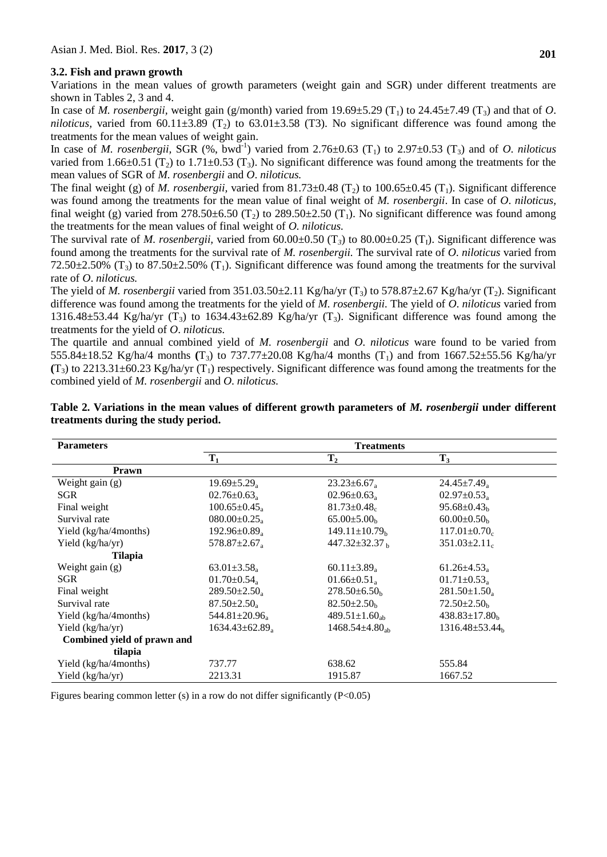### **3.2. Fish and prawn growth**

Variations in the mean values of growth parameters (weight gain and SGR) under different treatments are shown in Tables 2, 3 and 4.

In case of *M. rosenbergii,* weight gain (g/month) varied from  $19.69\pm5.29$  (T<sub>1</sub>) to  $24.45\pm7.49$  (T<sub>3</sub>) and that of *O*. *niloticus*, varied from 60.11 $\pm$ 3.89 (T<sub>2</sub>) to 63.01 $\pm$ 3.58 (T3). No significant difference was found among the treatments for the mean values of weight gain.

In case of *M. rosenbergii,* SGR  $(\%$ , bwd<sup>-1</sup>) varied from 2.76 $\pm$ 0.63  $(T_1)$  to 2.97 $\pm$ 0.53  $(T_3)$  and of *O. niloticus* varied from 1.66 $\pm$ 0.51 (T<sub>2</sub>) to 1.71 $\pm$ 0.53 (T<sub>3</sub>). No significant difference was found among the treatments for the mean values of SGR of *M. rosenbergii* and *O*. *niloticus.*

The final weight (g) of *M. rosenbergii*, varied from  $81.73\pm0.48$  (T<sub>2</sub>) to 100.65 $\pm0.45$  (T<sub>1</sub>). Significant difference was found among the treatments for the mean value of final weight of *M. rosenbergii*. In case of *O*. *niloticus,*  final weight (g) varied from 278.50 $\pm$ 6.50 (T<sub>2</sub>) to 289.50 $\pm$ 2.50 (T<sub>1</sub>). No significant difference was found among the treatments for the mean values of final weight of *O*. *niloticus.*

The survival rate of *M. rosenbergii,* varied from  $60.00\pm0.50$  (T<sub>3</sub>) to  $80.00\pm0.25$  (T<sub>1</sub>). Significant difference was found among the treatments for the survival rate of *M. rosenbergii.* The survival rate of *O*. *niloticus* varied from 72.50 $\pm$ 2.50% (T<sub>3</sub>) to 87.50 $\pm$ 2.50% (T<sub>1</sub>). Significant difference was found among the treatments for the survival rate of *O*. *niloticus.* 

The yield of *M. rosenbergii* varied from 351.03.50±2.11 Kg/ha/yr (T<sub>3</sub>) to 578.87±2.67 Kg/ha/yr (T<sub>2</sub>). Significant difference was found among the treatments for the yield of *M. rosenbergii.* The yield of *O*. *niloticus* varied from 1316.48±53.44 Kg/ha/yr  $(T_3)$  to 1634.43±62.89 Kg/ha/yr  $(T_3)$ . Significant difference was found among the treatments for the yield of *O*. *niloticus.* 

The quartile and annual combined yield of *M. rosenbergii* and *O*. *niloticus* ware found to be varied from 555.84±18.52 Kg/ha/4 months **(**T3) to 737.77±20.08 Kg/ha/4 months (T1) and from 1667.52±55.56 Kg/ha/yr  $(T_3)$  to 2213.31±60.23 Kg/ha/yr  $(T_1)$  respectively. Significant difference was found among the treatments for the combined yield of *M. rosenbergii* and *O*. *niloticus.* 

| <b>Parameters</b>           | <b>Treatments</b>               |                                 |                               |
|-----------------------------|---------------------------------|---------------------------------|-------------------------------|
|                             | $T_1$                           | $T_{2}$                         | $T_3$                         |
| Prawn                       |                                 |                                 |                               |
| Weight gain (g)             | $19.69 \pm 5.29_a$              | $23.23 \pm 6.67_a$              | $24.45 \pm 7.49$ <sub>a</sub> |
| SGR                         | $02.76 \pm 0.63$ <sub>a</sub>   | $02.96 \pm 0.63$ <sub>a</sub>   | $02.97 \pm 0.53$ <sub>a</sub> |
| Final weight                | $100.65 \pm 0.45_a$             | $81.73 \pm 0.48$                | $95.68 \pm 0.43_h$            |
| Survival rate               | $080.00 \pm 0.25_a$             | $65.00 \pm 5.00_h$              | $60.00 \pm 0.50_h$            |
| Yield (kg/ha/4months)       | $192.96 \pm 0.89_a$             | $149.11 \pm 10.79_h$            | $117.01 \pm 0.70$             |
| Yield (kg/ha/yr)            | $578.87 \pm 2.67$ <sub>a</sub>  | $447.32 \pm 32.37$ b            | $351.03 \pm 2.11_c$           |
| Tilapia                     |                                 |                                 |                               |
| Weight gain $(g)$           | $63.01 \pm 3.58_a$              | 60.11 $\pm$ 3.89 <sub>a</sub>   | $61.26 \pm 4.53_a$            |
| SGR                         | $01.70 \pm 0.54$ <sub>a</sub>   | $01.66 \pm 0.51_a$              | $01.71 \pm 0.53_a$            |
| Final weight                | $289.50 \pm 2.50_a$             | $278.50\pm 6.50_h$              | $281.50 \pm 1.50_a$           |
| Survival rate               | $87.50 \pm 2.50_a$              | $82.50 \pm 2.50_b$              | $72.50 \pm 2.50_h$            |
| Yield (kg/ha/4months)       | 544.81 $\pm$ 20.96 <sub>a</sub> | 489.51 $\pm$ 1.60 <sub>ab</sub> | $438.83 \pm 17.80_h$          |
| Yield (kg/ha/yr)            | $1634.43\pm62.89$               | $1468.54\pm4.80_{\rm ab}$       | $1316.48 \pm 53.44$           |
| Combined yield of prawn and |                                 |                                 |                               |
| tilapia                     |                                 |                                 |                               |
| Yield (kg/ha/4months)       | 737.77                          | 638.62                          | 555.84                        |
| Yield (kg/ha/yr)            | 2213.31                         | 1915.87                         | 1667.52                       |

|  | Table 2. Variations in the mean values of different growth parameters of M. rosenbergii under different |  |  |  |  |
|--|---------------------------------------------------------------------------------------------------------|--|--|--|--|
|  | treatments during the study period.                                                                     |  |  |  |  |

Figures bearing common letter (s) in a row do not differ significantly  $(P<0.05)$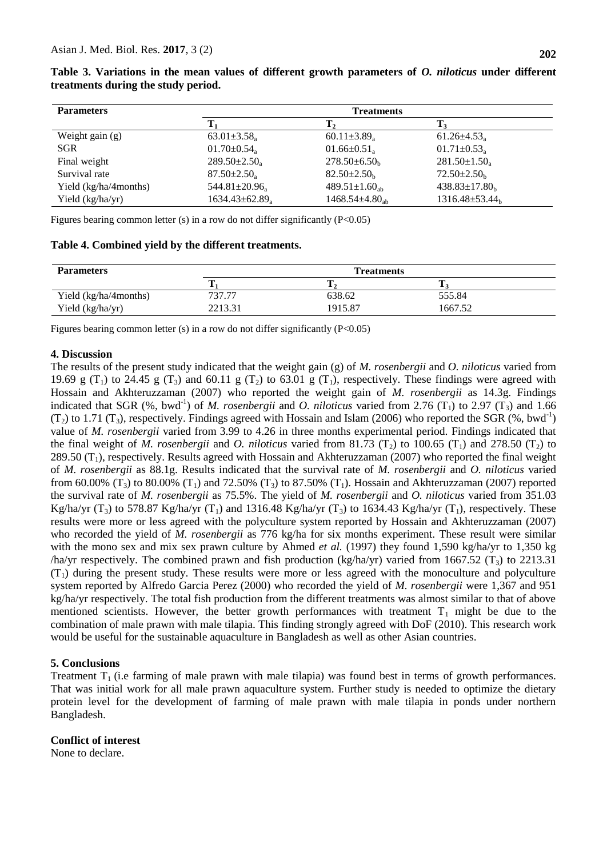| <b>Parameters</b>     |                                | <b>Treatments</b>               |                                  |
|-----------------------|--------------------------------|---------------------------------|----------------------------------|
|                       |                                | т,                              |                                  |
| Weight gain $(g)$     | $63.01 \pm 3.58$               | $60.11 \pm 3.89$                | $61.26 \pm 4.53$                 |
| <b>SGR</b>            | $01.70 \pm 0.54$               | $01.66 \pm 0.51$                | $01.71 \pm 0.53$ <sub>a</sub>    |
| Final weight          | $289.50 \pm 2.50_{\rm a}$      | $278.50\pm 6.50_h$              | $281.50 \pm 1.50_a$              |
| Survival rate         | $87.50 \pm 2.50$ ,             | $82.50 \pm 2.50$                | $72.50 \pm 2.50_k$               |
| Yield (kg/ha/4months) | $544.81 \pm 20.96$             | 489.51 $\pm$ 1.60 <sub>ab</sub> | $438.83 \pm 17.80_h$             |
| Yield (kg/ha/yr)      | $1634.43\pm62.89$ <sub>a</sub> | $1468.54 \pm 4.80_{ab}$         | $1316.48 \pm 53.44$ <sub>b</sub> |

**Table 3. Variations in the mean values of different growth parameters of** *O. niloticus* **under different treatments during the study period.**

Figures bearing common letter (s) in a row do not differ significantly  $(P<0.05)$ 

#### **Table 4. Combined yield by the different treatments.**

| <b>Parameters</b>     | <b>Treatments</b> |         |         |  |
|-----------------------|-------------------|---------|---------|--|
|                       |                   |         |         |  |
| Yield (kg/ha/4months) | 737.77            | 638.62  | 555.84  |  |
| Yield (kg/ha/yr)      | 2213.31           | 1915.87 | 1667.52 |  |

Figures bearing common letter (s) in a row do not differ significantly (P<0.05)

### **4. Discussion**

The results of the present study indicated that the weight gain (g) of *M. rosenbergii* and *O. niloticus* varied from 19.69 g (T<sub>1</sub>) to 24.45 g (T<sub>3</sub>) and 60.11 g (T<sub>2</sub>) to 63.01 g (T<sub>1</sub>), respectively. These findings were agreed with Hossain and Akhteruzzaman (2007) who reported the weight gain of *M. rosenbergii* as 14.3g. Findings indicated that SGR  $(\%$ , bwd<sup>-1</sup>) of *M. rosenbergii* and *O. niloticus* varied from 2.76  $(T_1)$  to 2.97  $(T_3)$  and 1.66  $(T_2)$  to 1.71  $(T_3)$ , respectively. Findings agreed with Hossain and Islam (2006) who reported the SGR (%, bwd<sup>-1</sup>) value of *M. rosenbergii* varied from 3.99 to 4.26 in three months experimental period. Findings indicated that the final weight of *M. rosenbergii* and *O. niloticus* varied from 81.73 ( $T_2$ ) to 100.65 ( $T_1$ ) and 278.50 ( $T_2$ ) to 289.50  $(T_1)$ , respectively. Results agreed with Hossain and Akhteruzzaman (2007) who reported the final weight of *M. rosenbergii* as 88.1g. Results indicated that the survival rate of *M. rosenbergii* and *O. niloticus* varied from 60.00% (T<sub>3</sub>) to 80.00% (T<sub>1</sub>) and 72.50% (T<sub>3</sub>) to 87.50% (T<sub>1</sub>). Hossain and Akhteruzzaman (2007) reported the survival rate of *M. rosenbergii* as 75.5%. The yield of *M. rosenbergii* and *O. niloticus* varied from 351.03 Kg/ha/yr (T<sub>3</sub>) to 578.87 Kg/ha/yr (T<sub>1</sub>) and 1316.48 Kg/ha/yr (T<sub>3</sub>) to 1634.43 Kg/ha/yr (T<sub>1</sub>), respectively. These results were more or less agreed with the polyculture system reported by Hossain and Akhteruzzaman (2007) who recorded the yield of *M. rosenbergii* as 776 kg/ha for six months experiment. These result were similar with the mono sex and mix sex prawn culture by Ahmed *et al.* (1997) they found 1,590 kg/ha/yr to 1,350 kg /ha/yr respectively. The combined prawn and fish production (kg/ha/yr) varied from 1667.52 (T<sub>3</sub>) to 2213.31  $(T_1)$  during the present study. These results were more or less agreed with the monoculture and polyculture system reported by Alfredo Garcia Perez (2000) who recorded the yield of *M. rosenbergii* were 1,367 and 951 kg/ha/yr respectively. The total fish production from the different treatments was almost similar to that of above mentioned scientists. However, the better growth performances with treatment  $T_1$  might be due to the combination of male prawn with male tilapia. This finding strongly agreed with DoF (2010). This research work would be useful for the sustainable aquaculture in Bangladesh as well as other Asian countries.

#### **5. Conclusions**

Treatment  $T_1$  (i.e farming of male prawn with male tilapia) was found best in terms of growth performances. That was initial work for all male prawn aquaculture system. Further study is needed to optimize the dietary protein level for the development of farming of male prawn with male tilapia in ponds under northern Bangladesh.

### **Conflict of interest**

None to declare.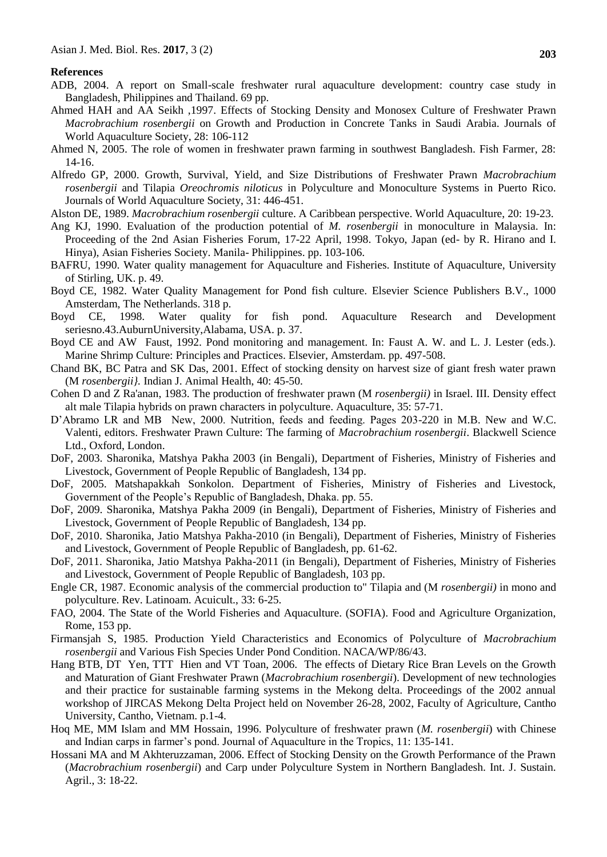#### **References**

- ADB, 2004. A report on Small-scale freshwater rural aquaculture development: country case study in Bangladesh, Philippines and Thailand. 69 pp.
- Ahmed HAH and AA Seikh ,1997. Effects of Stocking Density and Monosex Culture of Freshwater Prawn *Macrobrachium rosenbergii* on Growth and Production in Concrete Tanks in Saudi Arabia. Journals of World Aquaculture Society, 28: 106-112
- Ahmed N, 2005. The role of women in freshwater prawn farming in southwest Bangladesh. Fish Farmer, 28: 14-16.
- Alfredo GP, 2000. Growth, Survival, Yield, and Size Distributions of Freshwater Prawn *Macrobrachium rosenbergii* and Tilapia *Oreochromis niloticus* in Polyculture and Monoculture Systems in Puerto Rico. Journals of World Aquaculture Society, 31: 446-451.
- Alston DE, 1989. *Macrobrachium rosenbergii* culture. A Caribbean perspective. World Aquaculture, 20: 19-23.
- Ang KJ, 1990. Evaluation of the production potential of *M. rosenbergii* in monoculture in Malaysia. In: Proceeding of the 2nd Asian Fisheries Forum, 17-22 April, 1998. Tokyo, Japan (ed- by R. Hirano and I. Hinya), Asian Fisheries Society. Manila- Philippines. pp. 103-106.
- BAFRU, 1990. Water quality management for Aquaculture and Fisheries. Institute of Aquaculture, University of Stirling, UK. p. 49.
- Boyd CE, 1982. Water Quality Management for Pond fish culture. Elsevier Science Publishers B.V., 1000 Amsterdam, The Netherlands. 318 p.
- Boyd CE, 1998. Water quality for fish pond. Aquaculture Research and Development seriesno.43.AuburnUniversity,Alabama, USA. p. 37.
- Boyd CE and AW Faust, 1992. Pond monitoring and management. In: Faust A. W. and L. J. Lester (eds.). Marine Shrimp Culture: Principles and Practices. Elsevier, Amsterdam. pp. 497-508.
- Chand BK, BC Patra and SK Das, 2001. Effect of stocking density on harvest size of giant fresh water prawn (M *rosenbergii}.* Indian J. Animal Health, 40: 45-50.
- Cohen D and Z Ra'anan, 1983. The production of freshwater prawn (M *rosenbergii)* in Israel. III. Density effect alt male Tilapia hybrids on prawn characters in polyculture. Aquaculture, 35: 57-71.
- D'Abramo LR and MB New, 2000. Nutrition, feeds and feeding. Pages 203-220 in M.B. New and W.C. Valenti, editors. Freshwater Prawn Culture: The farming of *Macrobrachium rosenbergii*. Blackwell Science Ltd., Oxford, London.
- DoF, 2003. Sharonika, Matshya Pakha 2003 (in Bengali), Department of Fisheries, Ministry of Fisheries and Livestock, Government of People Republic of Bangladesh, 134 pp.
- DoF, 2005. Matshapakkah Sonkolon. Department of Fisheries, Ministry of Fisheries and Livestock, Government of the People's Republic of Bangladesh, Dhaka. pp. 55.
- DoF, 2009. Sharonika, Matshya Pakha 2009 (in Bengali), Department of Fisheries, Ministry of Fisheries and Livestock, Government of People Republic of Bangladesh, 134 pp.
- DoF, 2010. Sharonika, Jatio Matshya Pakha-2010 (in Bengali), Department of Fisheries, Ministry of Fisheries and Livestock, Government of People Republic of Bangladesh, pp. 61-62.
- DoF, 2011. Sharonika, Jatio Matshya Pakha-2011 (in Bengali), Department of Fisheries, Ministry of Fisheries and Livestock, Government of People Republic of Bangladesh, 103 pp.
- Engle CR, 1987. Economic analysis of the commercial production to" Tilapia and (M *rosenbergii)* in mono and polyculture. Rev. Latinoam. Acuicult., 33: 6-25.
- FAO, 2004. The State of the World Fisheries and Aquaculture. (SOFIA). Food and Agriculture Organization, Rome, 153 pp.
- Firmansjah S, 1985. Production Yield Characteristics and Economics of Polyculture of *Macrobrachium rosenbergii* and Various Fish Species Under Pond Condition. NACA/WP/86/43.
- Hang BTB, DT Yen, TTT Hien and VT Toan, 2006. The effects of Dietary Rice Bran Levels on the Growth and Maturation of Giant Freshwater Prawn (*Macrobrachium rosenbergii*). Development of new technologies and their practice for sustainable farming systems in the Mekong delta. Proceedings of the 2002 annual workshop of JIRCAS Mekong Delta Project held on November 26-28, 2002, Faculty of Agriculture, Cantho University, Cantho, Vietnam. p.1-4.
- Hoq ME, MM Islam and MM Hossain, 1996. Polyculture of freshwater prawn (*M. rosenbergii*) with Chinese and Indian carps in farmer's pond. Journal of Aquaculture in the Tropics, 11: 135-141.
- Hossani MA and M Akhteruzzaman, 2006. Effect of Stocking Density on the Growth Performance of the Prawn (*Macrobrachium rosenbergii*) and Carp under Polyculture System in Northern Bangladesh. Int. J. Sustain. Agril., 3: 18-22.